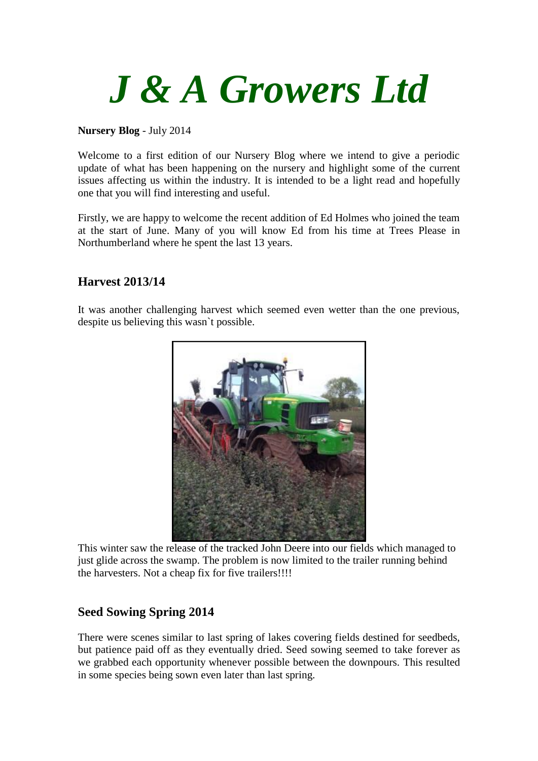

#### **Nursery Blog** - July 2014

Welcome to a first edition of our Nursery Blog where we intend to give a periodic update of what has been happening on the nursery and highlight some of the current issues affecting us within the industry. It is intended to be a light read and hopefully one that you will find interesting and useful.

Firstly, we are happy to welcome the recent addition of Ed Holmes who joined the team at the start of June. Many of you will know Ed from his time at Trees Please in Northumberland where he spent the last 13 years.

### **Harvest 2013/14**

It was another challenging harvest which seemed even wetter than the one previous, despite us believing this wasn`t possible.



This winter saw the release of the tracked John Deere into our fields which managed to just glide across the swamp. The problem is now limited to the trailer running behind the harvesters. Not a cheap fix for five trailers!!!!

# **Seed Sowing Spring 2014**

There were scenes similar to last spring of lakes covering fields destined for seedbeds, but patience paid off as they eventually dried. Seed sowing seemed to take forever as we grabbed each opportunity whenever possible between the downpours. This resulted in some species being sown even later than last spring.